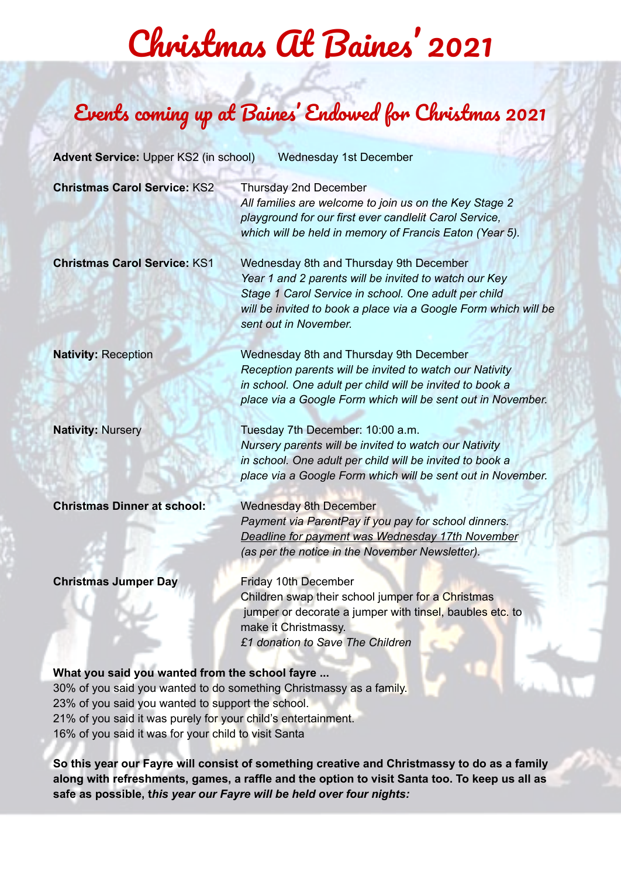## Christmas At Baines ' 2021

### Events coming up at Baines ' Endowed for Christmas 2021

| Advent Service: Upper KS2 (in school)<br>Wednesday 1st December |                                                                                                                                                                                                                                                      |  |  |
|-----------------------------------------------------------------|------------------------------------------------------------------------------------------------------------------------------------------------------------------------------------------------------------------------------------------------------|--|--|
| <b>Christmas Carol Service: KS2</b>                             | Thursday 2nd December<br>All families are welcome to join us on the Key Stage 2<br>playground for our first ever candlelit Carol Service,<br>which will be held in memory of Francis Eaton (Year 5).                                                 |  |  |
| <b>Christmas Carol Service: KS1</b>                             | Wednesday 8th and Thursday 9th December<br>Year 1 and 2 parents will be invited to watch our Key<br>Stage 1 Carol Service in school. One adult per child<br>will be invited to book a place via a Google Form which will be<br>sent out in November. |  |  |
| <b>Nativity: Reception</b>                                      | Wednesday 8th and Thursday 9th December<br>Reception parents will be invited to watch our Nativity<br>in school. One adult per child will be invited to book a<br>place via a Google Form which will be sent out in November.                        |  |  |
| <b>Nativity: Nursery</b>                                        | Tuesday 7th December: 10:00 a.m.<br>Nursery parents will be invited to watch our Nativity<br>in school. One adult per child will be invited to book a<br>place via a Google Form which will be sent out in November.                                 |  |  |
| <b>Christmas Dinner at school:</b>                              | <b>Wednesday 8th December</b><br>Payment via ParentPay if you pay for school dinners.<br>Deadline for payment was Wednesday 17th November<br>(as per the notice in the November Newsletter).                                                         |  |  |
| <b>Christmas Jumper Day</b>                                     | <b>Friday 10th December</b><br>Children swap their school jumper for a Christmas<br>jumper or decorate a jumper with tinsel, baubles etc. to<br>make it Christmassy.<br>£1 donation to Save The Children                                             |  |  |
| What you said you wanted from the school fayre                  |                                                                                                                                                                                                                                                      |  |  |

30% of you said you wanted to do something Christmassy as a family. 23% of you said you wanted to support the school. 21% of you said it was purely for your child's entertainment. 16% of you said it was for your child to visit Santa

**So this year our Fayre will consist of something creative and Christmassy to do as a family along with refreshments, games, a raffle and the option to visit Santa too. To keep us all as safe as possible, t***his year our Fayre will be held over four nights:*